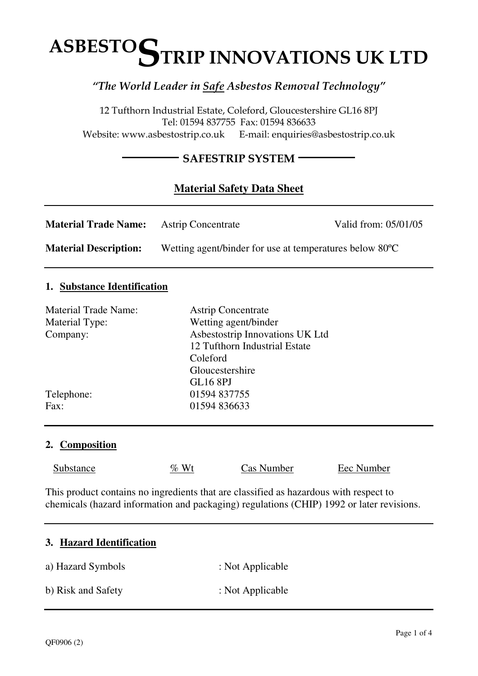# $\ddot{\phantom{a}}$ ASBESTO**S**TRIP INNOVATIONS UK LTD

# "The World Leader in Safe Asbestos Removal Technology"

12 Tufthorn Industrial Estate, Coleford, Gloucestershire GL16 8PJ Tel: 01594 837755 Fax: 01594 836633 Website: www.asbestostrip.co.uk E-mail: enquiries@asbestostrip.co.uk

## - SAFESTRIP SYSTEM -

# **Material Safety Data Sheet**

| <b>Material Trade Name:</b>  | <b>Astrip Concentrate</b>                                            | Valid from: 05/01/05 |
|------------------------------|----------------------------------------------------------------------|----------------------|
| <b>Material Description:</b> | Wetting agent/binder for use at temperatures below 80 <sup>o</sup> C |                      |

#### **1. Substance Identification**

| <b>Material Trade Name:</b> | <b>Astrip Concentrate</b>       |
|-----------------------------|---------------------------------|
| Material Type:              | Wetting agent/binder            |
| Company:                    | Asbestostrip Innovations UK Ltd |
|                             | 12 Tufthorn Industrial Estate   |
|                             | Coleford                        |
|                             | Gloucestershire                 |
|                             | <b>GL16 8PJ</b>                 |
| Telephone:                  | 01594 837755                    |
| Fax:                        | 01594 836633                    |
|                             |                                 |

#### **2. Composition**

Substance  $\% Wt$  Cas Number Eec Number

This product contains no ingredients that are classified as hazardous with respect to chemicals (hazard information and packaging) regulations (CHIP) 1992 or later revisions.

#### **3. Hazard Identification**

a) Hazard Symbols : Not Applicable b) Risk and Safety : Not Applicable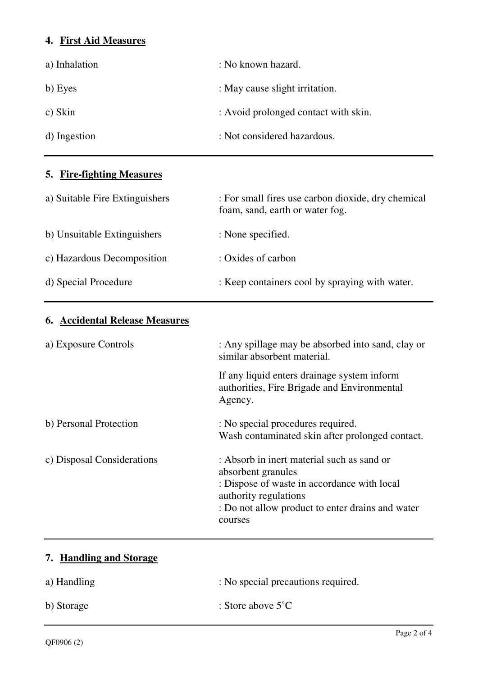## **4. First Aid Measures**

| a) Inhalation | : No known hazard.                   |
|---------------|--------------------------------------|
| b) Eyes       | : May cause slight irritation.       |
| c) Skin       | : Avoid prolonged contact with skin. |
| d) Ingestion  | : Not considered hazardous.          |

# **5. Fire-fighting Measures**

| a) Suitable Fire Extinguishers | : For small fires use carbon dioxide, dry chemical<br>foam, sand, earth or water fog. |
|--------------------------------|---------------------------------------------------------------------------------------|
| b) Unsuitable Extinguishers    | : None specified.                                                                     |
| c) Hazardous Decomposition     | : Oxides of carbon                                                                    |
| d) Special Procedure           | : Keep containers cool by spraying with water.                                        |

# **6. Accidental Release Measures**

| a) Exposure Controls       | : Any spillage may be absorbed into sand, clay or<br>similar absorbent material.                                                                                                                        |
|----------------------------|---------------------------------------------------------------------------------------------------------------------------------------------------------------------------------------------------------|
|                            | If any liquid enters drainage system inform<br>authorities, Fire Brigade and Environmental<br>Agency.                                                                                                   |
| b) Personal Protection     | : No special procedures required.<br>Wash contaminated skin after prolonged contact.                                                                                                                    |
| c) Disposal Considerations | : Absorb in inert material such as sand or<br>absorbent granules<br>: Dispose of waste in accordance with local<br>authority regulations<br>: Do not allow product to enter drains and water<br>courses |

# **7. Handling and Storage**

| a) Handling | : No special precautions required. |
|-------------|------------------------------------|
| b) Storage  | : Store above $5^{\circ}$ C        |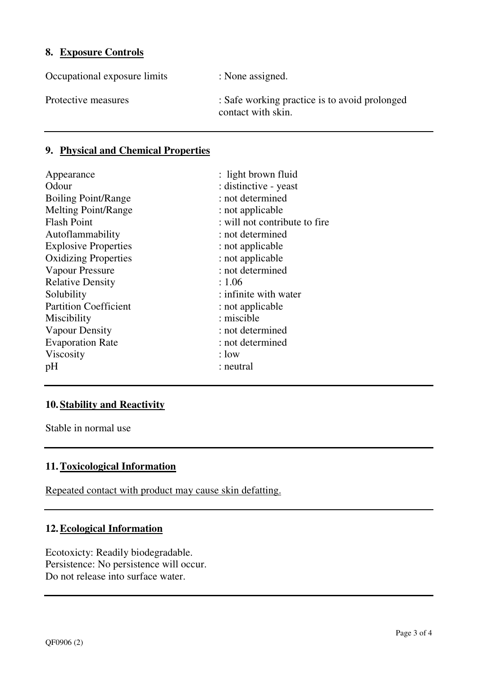#### **8. Exposure Controls**

Occupational exposure limits : None assigned.

Protective measures : Safe working practice is to avoid prolonged contact with skin.

## **9. Physical and Chemical Properties**

| Appearance                   | : light brown fluid           |
|------------------------------|-------------------------------|
| Odour                        | : distinctive - yeast         |
| <b>Boiling Point/Range</b>   | : not determined              |
| <b>Melting Point/Range</b>   | : not applicable              |
| <b>Flash Point</b>           | : will not contribute to fire |
| Autoflammability             | : not determined              |
| <b>Explosive Properties</b>  | : not applicable              |
| <b>Oxidizing Properties</b>  | : not applicable              |
| Vapour Pressure              | : not determined              |
| <b>Relative Density</b>      | : 1.06                        |
| Solubility                   | : infinite with water         |
| <b>Partition Coefficient</b> | : not applicable              |
| Miscibility                  | : miscible                    |
| <b>Vapour Density</b>        | : not determined              |
| <b>Evaporation Rate</b>      | : not determined              |
| Viscosity                    | $: 1$ ow                      |
| pH                           | : neutral                     |

## **10.Stability and Reactivity**

Stable in normal use

#### **11.Toxicological Information**

Repeated contact with product may cause skin defatting.

## **12.Ecological Information**

Ecotoxicty: Readily biodegradable. Persistence: No persistence will occur. Do not release into surface water.